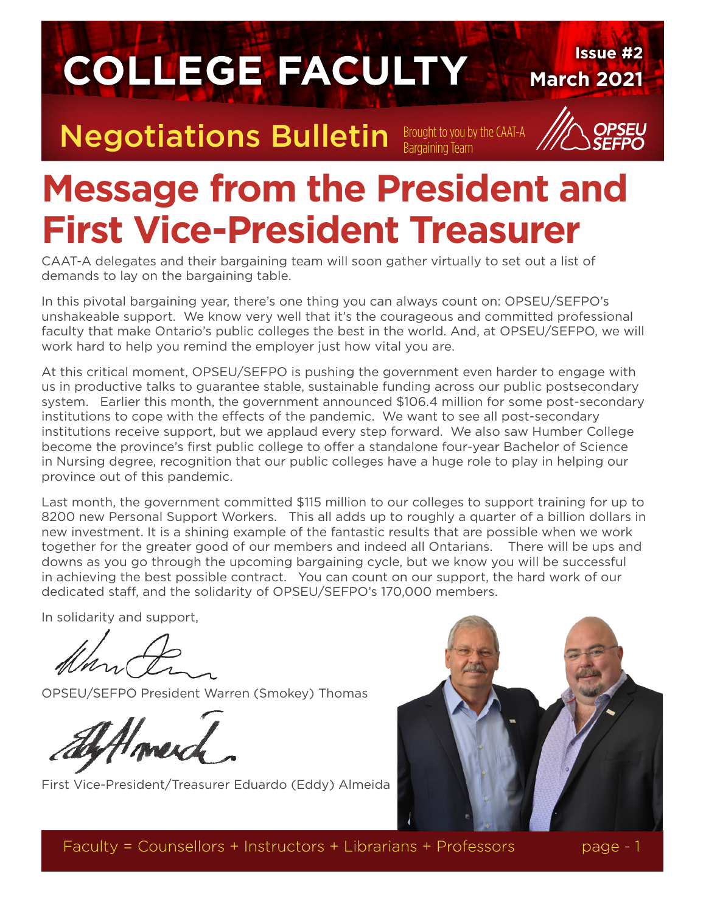

# **Message from the President and First Vice-President Treasurer**

CAAT-A delegates and their bargaining team will soon gather virtually to set out a list of demands to lay on the bargaining table.

In this pivotal bargaining year, there's one thing you can always count on: OPSEU/SEFPO's unshakeable support. We know very well that it's the courageous and committed professional faculty that make Ontario's public colleges the best in the world. And, at OPSEU/SEFPO, we will work hard to help you remind the employer just how vital you are.

At this critical moment, OPSEU/SEFPO is pushing the government even harder to engage with us in productive talks to guarantee stable, sustainable funding across our public postsecondary system. Earlier this month, the government announced \$106.4 million for some post-secondary institutions to cope with the effects of the pandemic. We want to see all post-secondary institutions receive support, but we applaud every step forward. We also saw Humber College become the province's first public college to offer a standalone four-year Bachelor of Science in Nursing degree, recognition that our public colleges have a huge role to play in helping our province out of this pandemic.

Last month, the government committed \$115 million to our colleges to support training for up to 8200 new Personal Support Workers. This all adds up to roughly a quarter of a billion dollars in new investment. It is a shining example of the fantastic results that are possible when we work together for the greater good of our members and indeed all Ontarians. There will be ups and downs as you go through the upcoming bargaining cycle, but we know you will be successful in achieving the best possible contract. You can count on our support, the hard work of our dedicated staff, and the solidarity of OPSEU/SEFPO's 170,000 members.

In solidarity and support,

OPSEU/SEFPO President Warren (Smokey) Thomas

First Vice-President/Treasurer Eduardo (Eddy) Almeida



Faculty = Counsellors + Instructors + Librarians + Professors page - 1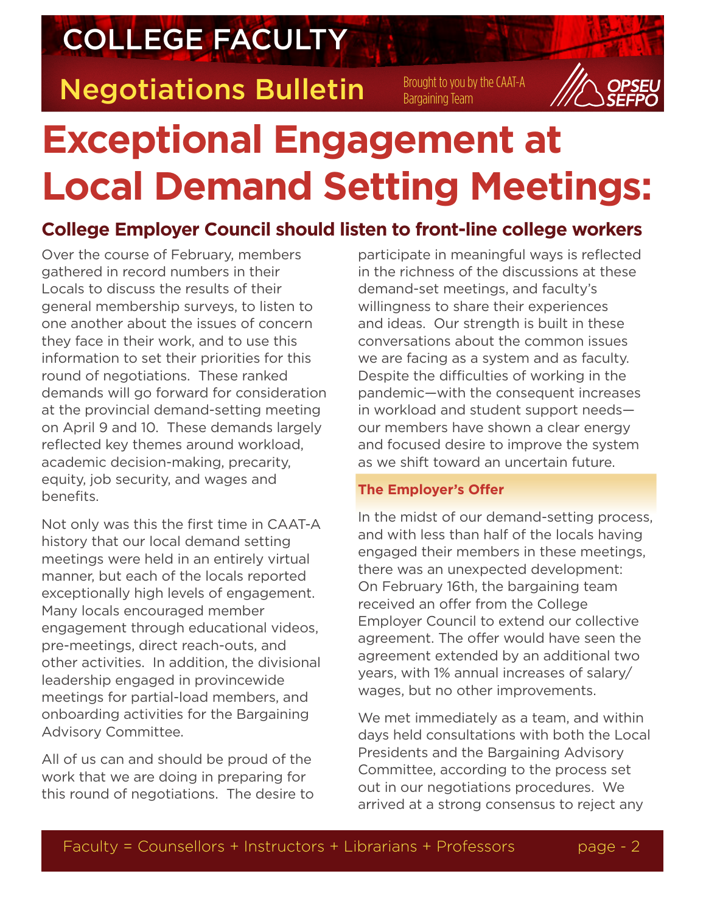COLLEGE FACULTY

**Negotiations Bulletin** Brought to you by the CAAT-A

# **Exceptional Engagement at Local Demand Setting Meetings:**

### **College Employer Council should listen to front-line college workers**

Over the course of February, members gathered in record numbers in their Locals to discuss the results of their general membership surveys, to listen to one another about the issues of concern they face in their work, and to use this information to set their priorities for this round of negotiations. These ranked demands will go forward for consideration at the provincial demand-setting meeting on April 9 and 10. These demands largely reflected key themes around workload, academic decision-making, precarity, equity, job security, and wages and benefits.

Not only was this the first time in CAAT-A history that our local demand setting meetings were held in an entirely virtual manner, but each of the locals reported exceptionally high levels of engagement. Many locals encouraged member engagement through educational videos, pre-meetings, direct reach-outs, and other activities. In addition, the divisional leadership engaged in provincewide meetings for partial-load members, and onboarding activities for the Bargaining Advisory Committee.

All of us can and should be proud of the work that we are doing in preparing for this round of negotiations. The desire to

participate in meaningful ways is reflected in the richness of the discussions at these demand-set meetings, and faculty's willingness to share their experiences and ideas. Our strength is built in these conversations about the common issues we are facing as a system and as faculty. Despite the difficulties of working in the pandemic—with the consequent increases in workload and student support needs our members have shown a clear energy and focused desire to improve the system as we shift toward an uncertain future.

### **The Employer's Offer**

In the midst of our demand-setting process, and with less than half of the locals having engaged their members in these meetings, there was an unexpected development: On February 16th, the bargaining team received an offer from the College Employer Council to extend our collective agreement. The offer would have seen the agreement extended by an additional two years, with 1% annual increases of salary/ wages, but no other improvements.

We met immediately as a team, and within days held consultations with both the Local Presidents and the Bargaining Advisory Committee, according to the process set out in our negotiations procedures. We arrived at a strong consensus to reject any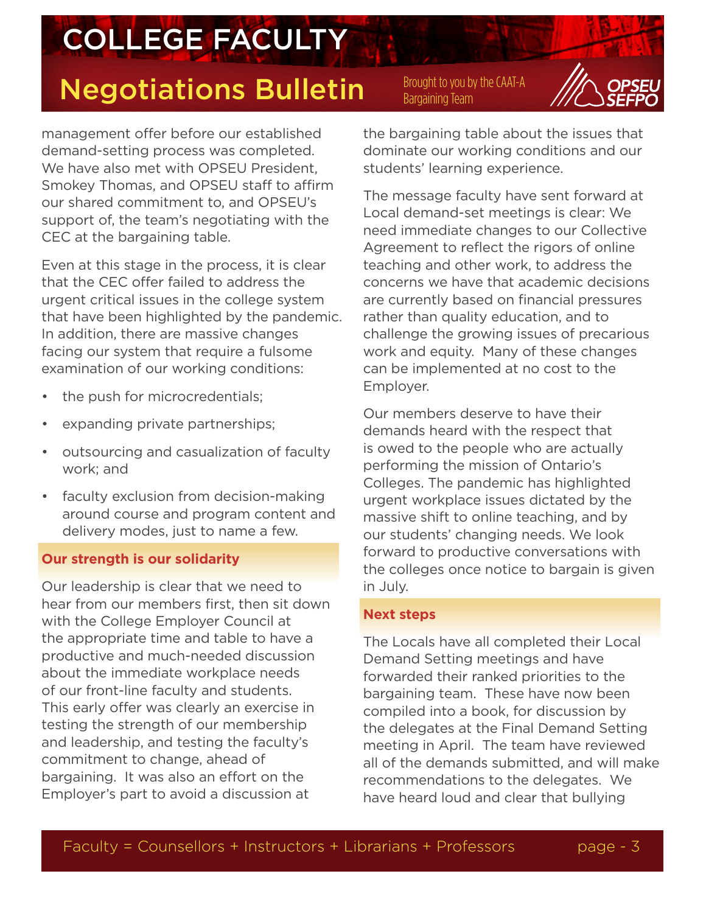# COLLEGE FACULTY

### Negotiations Bulletin Brought to you by the CAAT-A

management offer before our established demand-setting process was completed. We have also met with OPSEU President. Smokey Thomas, and OPSEU staff to affirm our shared commitment to, and OPSEU's support of, the team's negotiating with the CEC at the bargaining table.

Even at this stage in the process, it is clear that the CEC offer failed to address the urgent critical issues in the college system that have been highlighted by the pandemic. In addition, there are massive changes facing our system that require a fulsome examination of our working conditions:

- the push for microcredentials;
- expanding private partnerships;
- outsourcing and casualization of faculty work; and
- faculty exclusion from decision-making around course and program content and delivery modes, just to name a few.

### **Our strength is our solidarity**

Our leadership is clear that we need to hear from our members first, then sit down with the College Employer Council at the appropriate time and table to have a productive and much-needed discussion about the immediate workplace needs of our front-line faculty and students. This early offer was clearly an exercise in testing the strength of our membership and leadership, and testing the faculty's commitment to change, ahead of bargaining. It was also an effort on the Employer's part to avoid a discussion at

the bargaining table about the issues that dominate our working conditions and our students' learning experience.

The message faculty have sent forward at Local demand-set meetings is clear: We need immediate changes to our Collective Agreement to reflect the rigors of online teaching and other work, to address the concerns we have that academic decisions are currently based on financial pressures rather than quality education, and to challenge the growing issues of precarious work and equity. Many of these changes can be implemented at no cost to the Employer.

Our members deserve to have their demands heard with the respect that is owed to the people who are actually performing the mission of Ontario's Colleges. The pandemic has highlighted urgent workplace issues dictated by the massive shift to online teaching, and by our students' changing needs. We look forward to productive conversations with the colleges once notice to bargain is given in July.

### **Next steps**

The Locals have all completed their Local Demand Setting meetings and have forwarded their ranked priorities to the bargaining team. These have now been compiled into a book, for discussion by the delegates at the Final Demand Setting meeting in April. The team have reviewed all of the demands submitted, and will make recommendations to the delegates. We have heard loud and clear that bullying